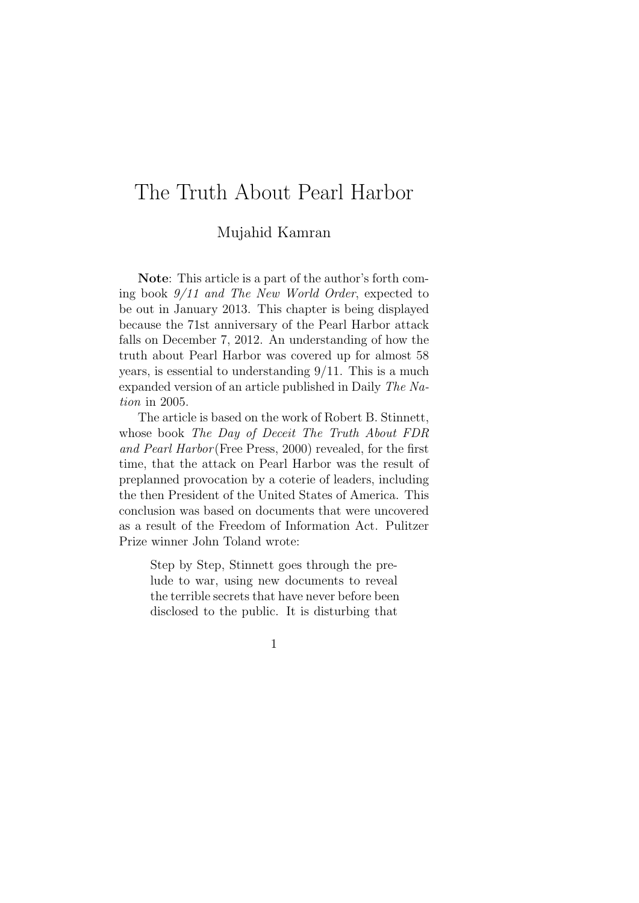# The Truth About Pearl Harbor

### Mujahid Kamran

**Note**: This article is a part of the author's forth coming book *9/11 and The New World Order*, expected to be out in January 2013. This chapter is being displayed because the 71st anniversary of the Pearl Harbor attack falls on December 7, 2012. An understanding of how the truth about Pearl Harbor was covered up for almost 58 years, is essential to understanding 9/11. This is a much expanded version of an article published in Daily *The Nation* in 2005.

The article is based on the work of Robert B. Stinnett, whose book *The Day of Deceit The Truth About FDR and Pearl Harbor* (Free Press, 2000) revealed, for the first time, that the attack on Pearl Harbor was the result of preplanned provocation by a coterie of leaders, including the then President of the United States of America. This conclusion was based on documents that were uncovered as a result of the Freedom of Information Act. Pulitzer Prize winner John Toland wrote:

Step by Step, Stinnett goes through the prelude to war, using new documents to reveal the terrible secrets that have never before been disclosed to the public. It is disturbing that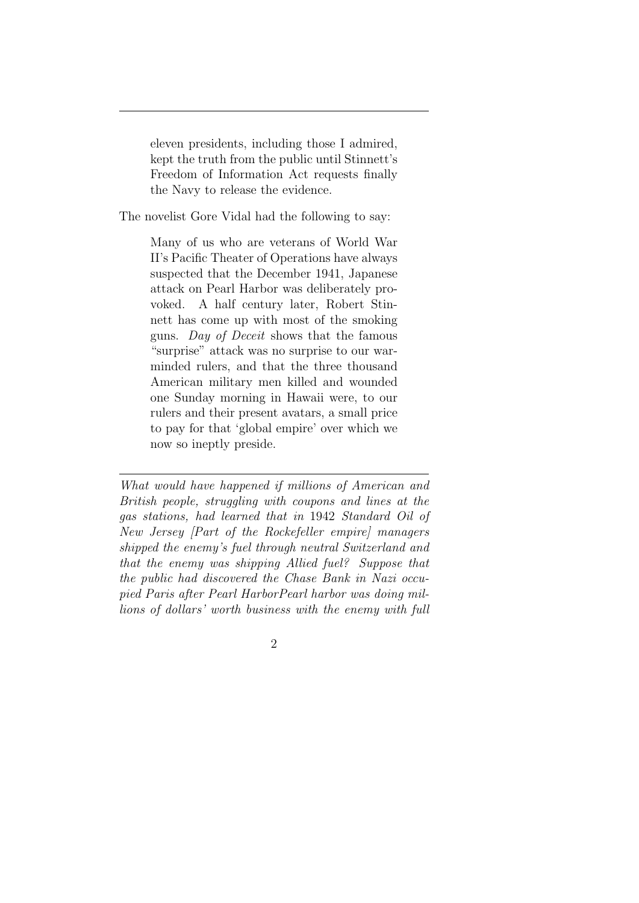eleven presidents, including those I admired, kept the truth from the public until Stinnett's Freedom of Information Act requests finally the Navy to release the evidence.

The novelist Gore Vidal had the following to say:

Many of us who are veterans of World War II's Pacific Theater of Operations have always suspected that the December 1941, Japanese attack on Pearl Harbor was deliberately provoked. A half century later, Robert Stinnett has come up with most of the smoking guns. *Day of Deceit* shows that the famous "surprise" attack was no surprise to our warminded rulers, and that the three thousand American military men killed and wounded one Sunday morning in Hawaii were, to our rulers and their present avatars, a small price to pay for that 'global empire' over which we now so ineptly preside.

*What would have happened if millions of American and British people, struggling with coupons and lines at the gas stations, had learned that in* 1942 *Standard Oil of New Jersey [Part of the Rockefeller empire] managers shipped the enemy's fuel through neutral Switzerland and that the enemy was shipping Allied fuel? Suppose that the public had discovered the Chase Bank in Nazi occupied Paris after Pearl HarborPearl harbor was doing millions of dollars' worth business with the enemy with full*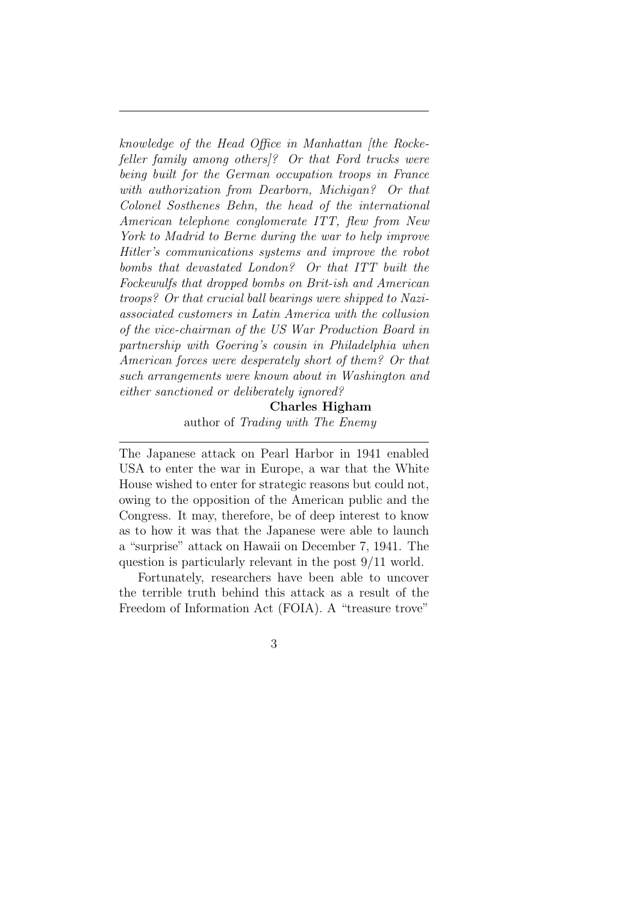*knowledge of the Head Office in Manhattan [the Rockefeller family among others]? Or that Ford trucks were being built for the German occupation troops in France with authorization from Dearborn, Michigan? Or that Colonel Sosthenes Behn, the head of the international American telephone conglomerate ITT, flew from New York to Madrid to Berne during the war to help improve Hitler's communications systems and improve the robot bombs that devastated London? Or that ITT built the Fockewulfs that dropped bombs on Brit-ish and American troops? Or that crucial ball bearings were shipped to Naziassociated customers in Latin America with the collusion of the vice-chairman of the US War Production Board in partnership with Goering's cousin in Philadelphia when American forces were desperately short of them? Or that such arrangements were known about in Washington and either sanctioned or deliberately ignored?*

#### **Charles Higham**

author of *Trading with The Enemy*

The Japanese attack on Pearl Harbor in 1941 enabled USA to enter the war in Europe, a war that the White House wished to enter for strategic reasons but could not, owing to the opposition of the American public and the Congress. It may, therefore, be of deep interest to know as to how it was that the Japanese were able to launch a "surprise" attack on Hawaii on December 7, 1941. The question is particularly relevant in the post 9/11 world.

Fortunately, researchers have been able to uncover the terrible truth behind this attack as a result of the Freedom of Information Act (FOIA). A "treasure trove"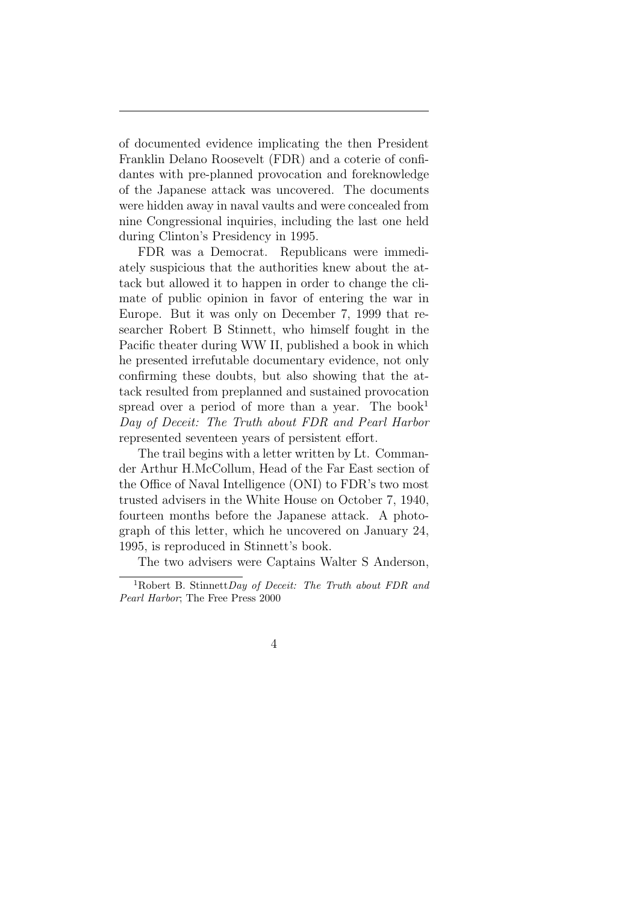of documented evidence implicating the then President Franklin Delano Roosevelt (FDR) and a coterie of confidantes with pre-planned provocation and foreknowledge of the Japanese attack was uncovered. The documents were hidden away in naval vaults and were concealed from nine Congressional inquiries, including the last one held during Clinton's Presidency in 1995.

FDR was a Democrat. Republicans were immediately suspicious that the authorities knew about the attack but allowed it to happen in order to change the climate of public opinion in favor of entering the war in Europe. But it was only on December 7, 1999 that researcher Robert B Stinnett, who himself fought in the Pacific theater during WW II, published a book in which he presented irrefutable documentary evidence, not only confirming these doubts, but also showing that the attack resulted from preplanned and sustained provocation spread over a period of more than a year. The book<sup>1</sup> *Day of Deceit: The Truth about FDR and Pearl Harbor* represented seventeen years of persistent effort.

The trail begins with a letter written by Lt. Commander Arthur H.McCollum, Head of the Far East section of the Office of Naval Intelligence (ONI) to FDR's two most trusted advisers in the White House on October 7, 1940, fourteen months before the Japanese attack. A photograph of this letter, which he uncovered on January 24, 1995, is reproduced in Stinnett's book.

The two advisers were Captains Walter S Anderson,

<sup>1</sup>Robert B. Stinnett*Day of Deceit: The Truth about FDR and Pearl Harbor*; The Free Press 2000

<sup>4</sup>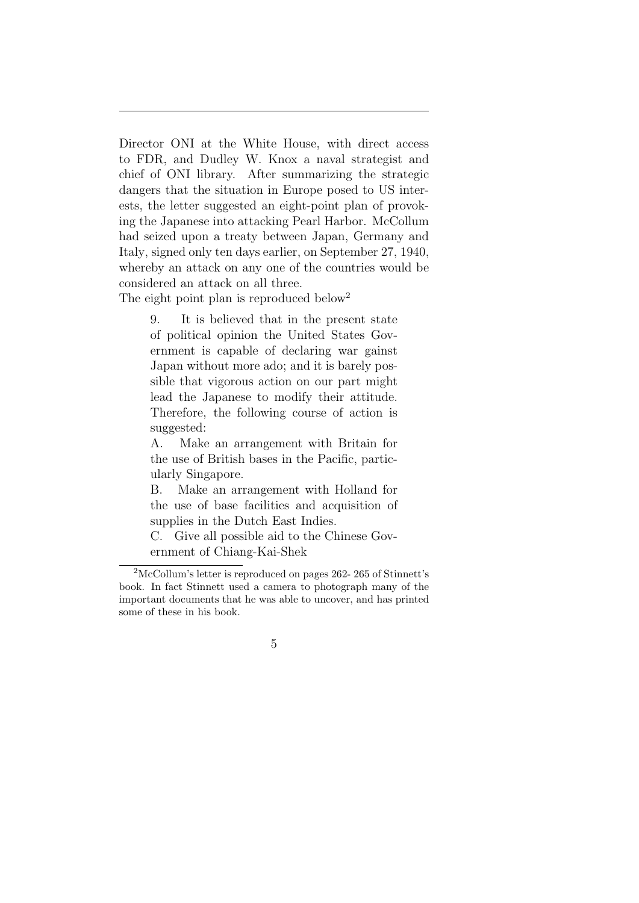Director ONI at the White House, with direct access to FDR, and Dudley W. Knox a naval strategist and chief of ONI library. After summarizing the strategic dangers that the situation in Europe posed to US interests, the letter suggested an eight-point plan of provoking the Japanese into attacking Pearl Harbor. McCollum had seized upon a treaty between Japan, Germany and Italy, signed only ten days earlier, on September 27, 1940, whereby an attack on any one of the countries would be considered an attack on all three.

The eight point plan is reproduced below<sup>2</sup>

9. It is believed that in the present state of political opinion the United States Government is capable of declaring war gainst Japan without more ado; and it is barely possible that vigorous action on our part might lead the Japanese to modify their attitude. Therefore, the following course of action is suggested:

A. Make an arrangement with Britain for the use of British bases in the Pacific, particularly Singapore.

B. Make an arrangement with Holland for the use of base facilities and acquisition of supplies in the Dutch East Indies.

C. Give all possible aid to the Chinese Government of Chiang-Kai-Shek

<sup>2</sup>McCollum's letter is reproduced on pages 262- 265 of Stinnett's book. In fact Stinnett used a camera to photograph many of the important documents that he was able to uncover, and has printed some of these in his book.

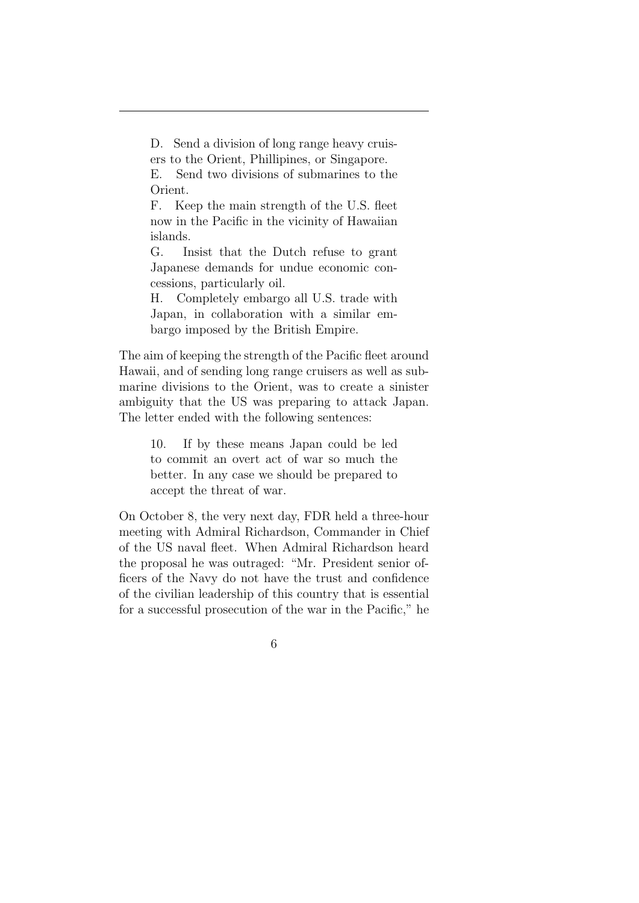D. Send a division of long range heavy cruisers to the Orient, Phillipines, or Singapore.

E. Send two divisions of submarines to the Orient.

F. Keep the main strength of the U.S. fleet now in the Pacific in the vicinity of Hawaiian islands.

G. Insist that the Dutch refuse to grant Japanese demands for undue economic concessions, particularly oil.

H. Completely embargo all U.S. trade with Japan, in collaboration with a similar embargo imposed by the British Empire.

The aim of keeping the strength of the Pacific fleet around Hawaii, and of sending long range cruisers as well as submarine divisions to the Orient, was to create a sinister ambiguity that the US was preparing to attack Japan. The letter ended with the following sentences:

> 10. If by these means Japan could be led to commit an overt act of war so much the better. In any case we should be prepared to accept the threat of war.

On October 8, the very next day, FDR held a three-hour meeting with Admiral Richardson, Commander in Chief of the US naval fleet. When Admiral Richardson heard the proposal he was outraged: "Mr. President senior officers of the Navy do not have the trust and confidence of the civilian leadership of this country that is essential for a successful prosecution of the war in the Pacific," he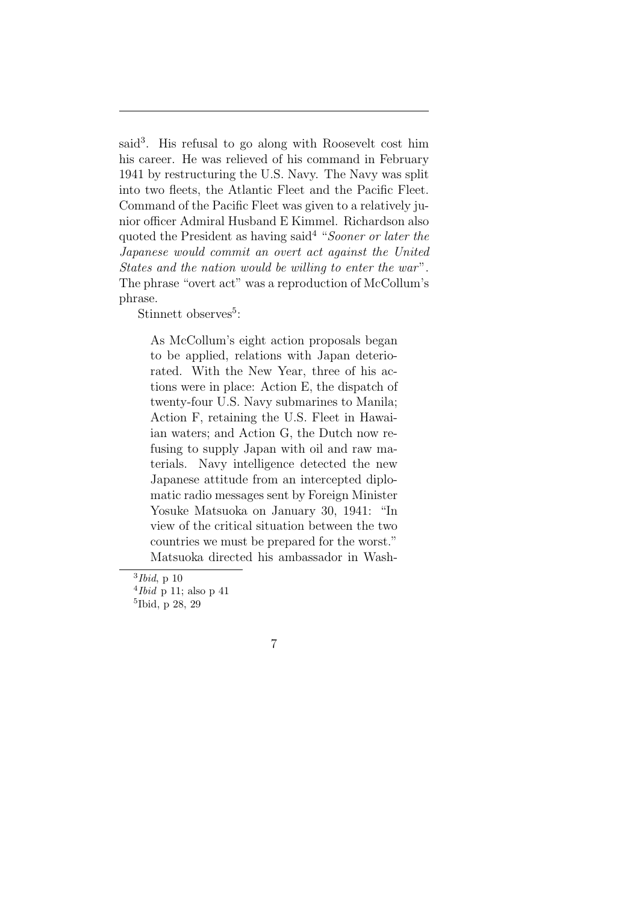said<sup>3</sup>. His refusal to go along with Roosevelt cost him his career. He was relieved of his command in February 1941 by restructuring the U.S. Navy. The Navy was split into two fleets, the Atlantic Fleet and the Pacific Fleet. Command of the Pacific Fleet was given to a relatively junior officer Admiral Husband E Kimmel. Richardson also quoted the President as having said<sup>4</sup> "*Sooner or later the Japanese would commit an overt act against the United States and the nation would be willing to enter the war*". The phrase "overt act" was a reproduction of McCollum's phrase.

Stinnett observes<sup>5</sup>:

As McCollum's eight action proposals began to be applied, relations with Japan deteriorated. With the New Year, three of his actions were in place: Action E, the dispatch of twenty-four U.S. Navy submarines to Manila; Action F, retaining the U.S. Fleet in Hawaiian waters; and Action G, the Dutch now refusing to supply Japan with oil and raw materials. Navy intelligence detected the new Japanese attitude from an intercepted diplomatic radio messages sent by Foreign Minister Yosuke Matsuoka on January 30, 1941: "In view of the critical situation between the two countries we must be prepared for the worst." Matsuoka directed his ambassador in Wash-



<sup>3</sup> *Ibid*, p 10

<sup>4</sup> *Ibid* p 11; also p 41

<sup>5</sup> Ibid, p 28, 29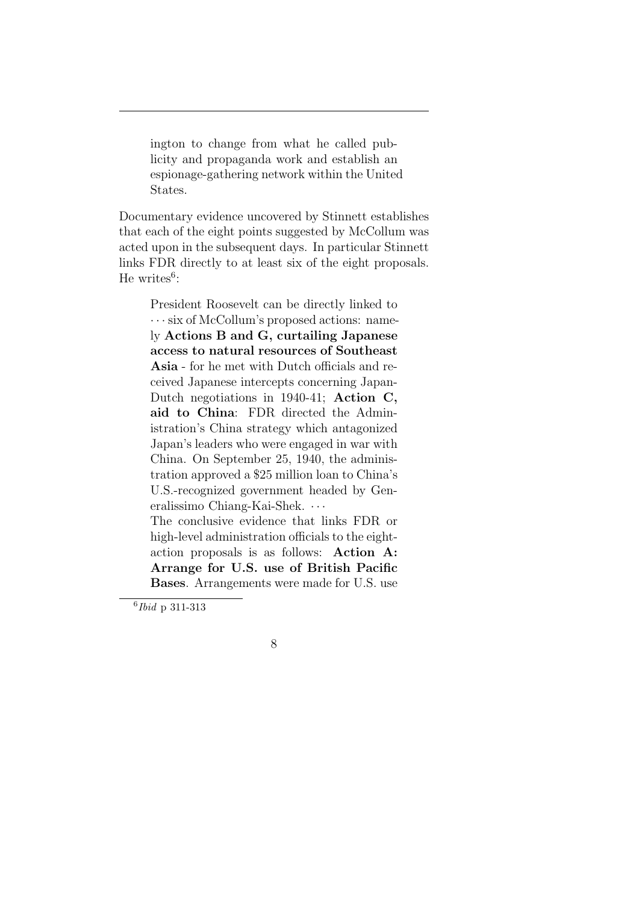ington to change from what he called publicity and propaganda work and establish an espionage-gathering network within the United States.

Documentary evidence uncovered by Stinnett establishes that each of the eight points suggested by McCollum was acted upon in the subsequent days. In particular Stinnett links FDR directly to at least six of the eight proposals. He writes $6$ :

President Roosevelt can be directly linked to *· · ·* six of McCollum's proposed actions: namely **Actions B and G, curtailing Japanese access to natural resources of Southeast Asia** - for he met with Dutch officials and received Japanese intercepts concerning Japan-Dutch negotiations in 1940-41; **Action C, aid to China**: FDR directed the Administration's China strategy which antagonized Japan's leaders who were engaged in war with China. On September 25, 1940, the administration approved a \$25 million loan to China's U.S.-recognized government headed by Generalissimo Chiang-Kai-Shek. *· · ·*

The conclusive evidence that links FDR or high-level administration officials to the eightaction proposals is as follows: **Action A: Arrange for U.S. use of British Pacific Bases**. Arrangements were made for U.S. use

<sup>6</sup> *Ibid* p 311-313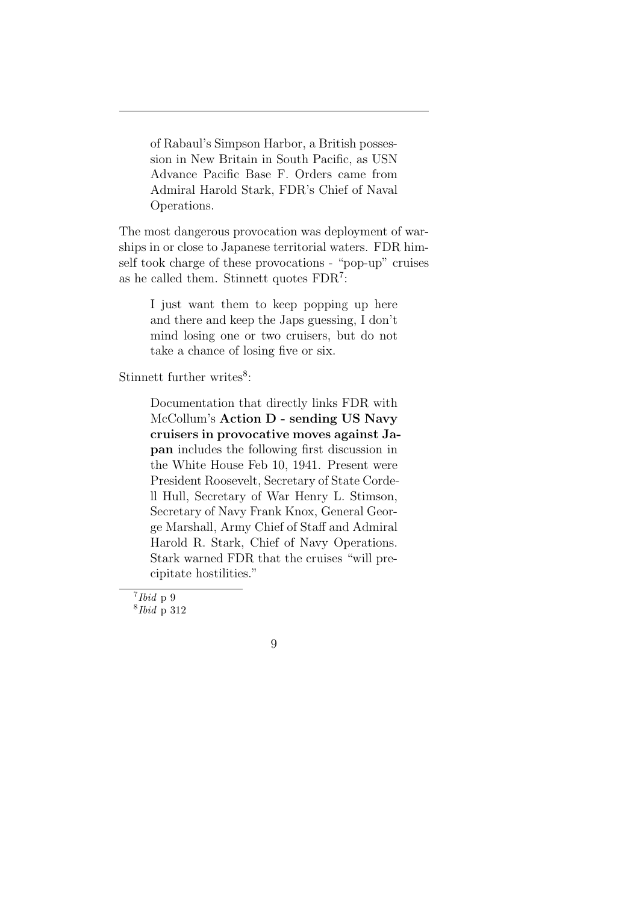of Rabaul's Simpson Harbor, a British possession in New Britain in South Pacific, as USN Advance Pacific Base F. Orders came from Admiral Harold Stark, FDR's Chief of Naval Operations.

The most dangerous provocation was deployment of warships in or close to Japanese territorial waters. FDR himself took charge of these provocations - "pop-up" cruises as he called them. Stinnett quotes FDR<sup>7</sup> :

I just want them to keep popping up here and there and keep the Japs guessing, I don't mind losing one or two cruisers, but do not take a chance of losing five or six.

Stinnett further writes<sup>8</sup>:

Documentation that directly links FDR with McCollum's **Action D - sending US Navy cruisers in provocative moves against Japan** includes the following first discussion in the White House Feb 10, 1941. Present were President Roosevelt, Secretary of State Cordell Hull, Secretary of War Henry L. Stimson, Secretary of Navy Frank Knox, General George Marshall, Army Chief of Staff and Admiral Harold R. Stark, Chief of Navy Operations. Stark warned FDR that the cruises "will precipitate hostilities."



<sup>7</sup> *Ibid* p 9 8 *Ibid* p 312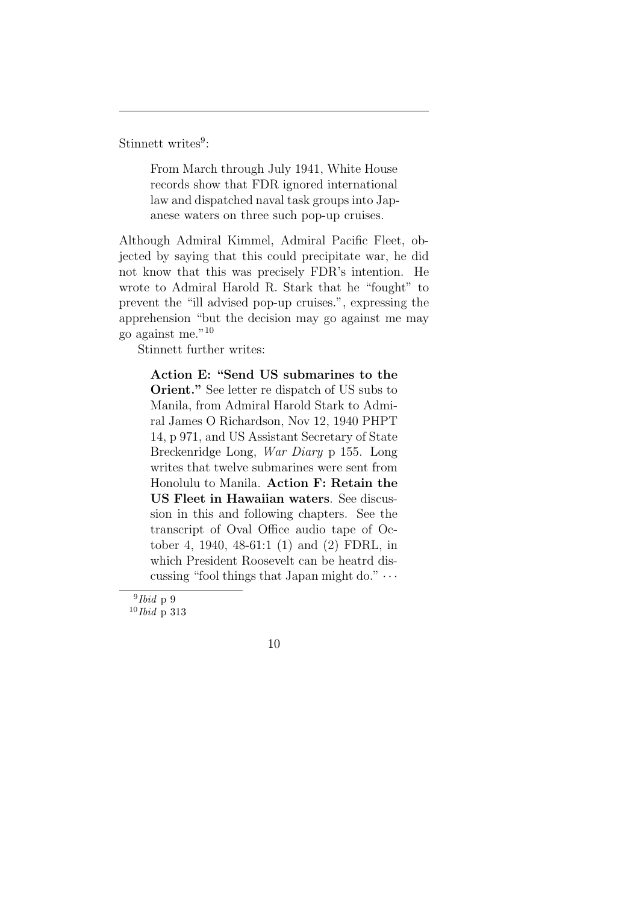Stinnett writes<sup>9</sup>:

From March through July 1941, White House records show that FDR ignored international law and dispatched naval task groups into Japanese waters on three such pop-up cruises.

Although Admiral Kimmel, Admiral Pacific Fleet, objected by saying that this could precipitate war, he did not know that this was precisely FDR's intention. He wrote to Admiral Harold R. Stark that he "fought" to prevent the "ill advised pop-up cruises.", expressing the apprehension "but the decision may go against me may go against me."<sup>10</sup>

Stinnett further writes:

**Action E: "Send US submarines to the Orient."** See letter re dispatch of US subs to Manila, from Admiral Harold Stark to Admiral James O Richardson, Nov 12, 1940 PHPT 14, p 971, and US Assistant Secretary of State Breckenridge Long, *War Diary* p 155. Long writes that twelve submarines were sent from Honolulu to Manila. **Action F: Retain the US Fleet in Hawaiian waters**. See discussion in this and following chapters. See the transcript of Oval Office audio tape of October 4, 1940, 48-61:1 (1) and (2) FDRL, in which President Roosevelt can be heatrd discussing "fool things that Japan might do." *· · ·*

<sup>9</sup> *Ibid* p 9

<sup>10</sup>*Ibid* p 313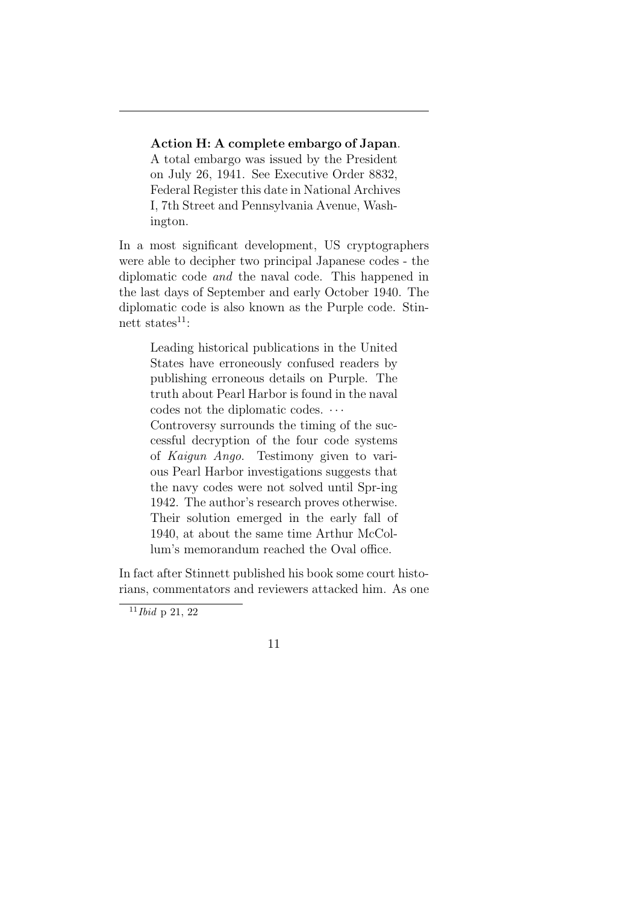#### **Action H: A complete embargo of Japan**.

A total embargo was issued by the President on July 26, 1941. See Executive Order 8832, Federal Register this date in National Archives I, 7th Street and Pennsylvania Avenue, Washington.

In a most significant development, US cryptographers were able to decipher two principal Japanese codes - the diplomatic code *and* the naval code. This happened in the last days of September and early October 1940. The diplomatic code is also known as the Purple code. Stinnett states $^{11}$ :

Leading historical publications in the United States have erroneously confused readers by publishing erroneous details on Purple. The truth about Pearl Harbor is found in the naval codes not the diplomatic codes. *· · ·* Controversy surrounds the timing of the successful decryption of the four code systems of *Kaigun Ango*. Testimony given to various Pearl Harbor investigations suggests that the navy codes were not solved until Spr-ing 1942. The author's research proves otherwise. Their solution emerged in the early fall of 1940, at about the same time Arthur McCollum's memorandum reached the Oval office.

In fact after Stinnett published his book some court historians, commentators and reviewers attacked him. As one



<sup>11</sup>*Ibid* p 21, 22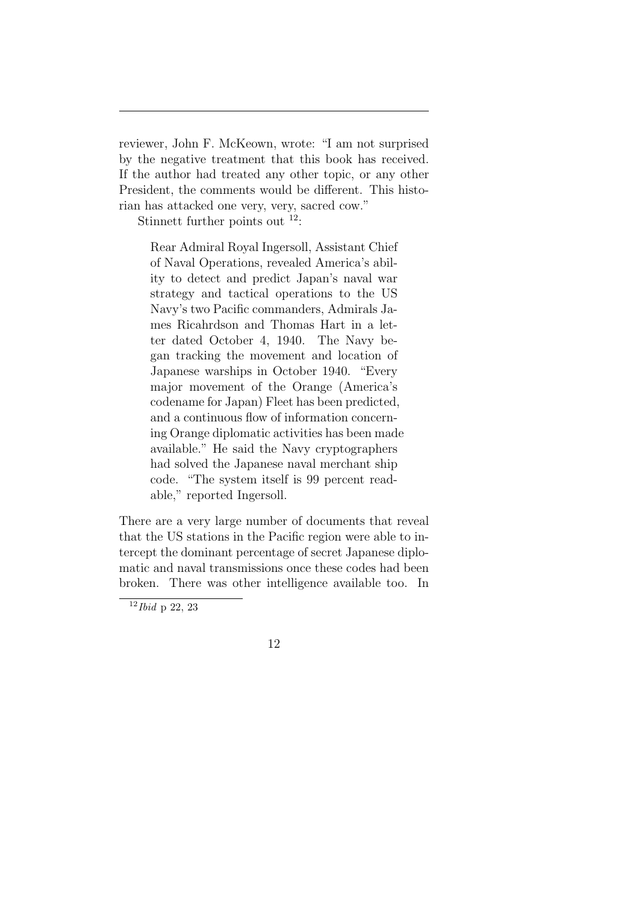reviewer, John F. McKeown, wrote: "I am not surprised by the negative treatment that this book has received. If the author had treated any other topic, or any other President, the comments would be different. This historian has attacked one very, very, sacred cow."

Stinnett further points out  $12$ :

Rear Admiral Royal Ingersoll, Assistant Chief of Naval Operations, revealed America's ability to detect and predict Japan's naval war strategy and tactical operations to the US Navy's two Pacific commanders, Admirals James Ricahrdson and Thomas Hart in a letter dated October 4, 1940. The Navy began tracking the movement and location of Japanese warships in October 1940. "Every major movement of the Orange (America's codename for Japan) Fleet has been predicted, and a continuous flow of information concerning Orange diplomatic activities has been made available." He said the Navy cryptographers had solved the Japanese naval merchant ship code. "The system itself is 99 percent readable," reported Ingersoll.

There are a very large number of documents that reveal that the US stations in the Pacific region were able to intercept the dominant percentage of secret Japanese diplomatic and naval transmissions once these codes had been broken. There was other intelligence available too. In



<sup>12</sup>*Ibid* p 22, 23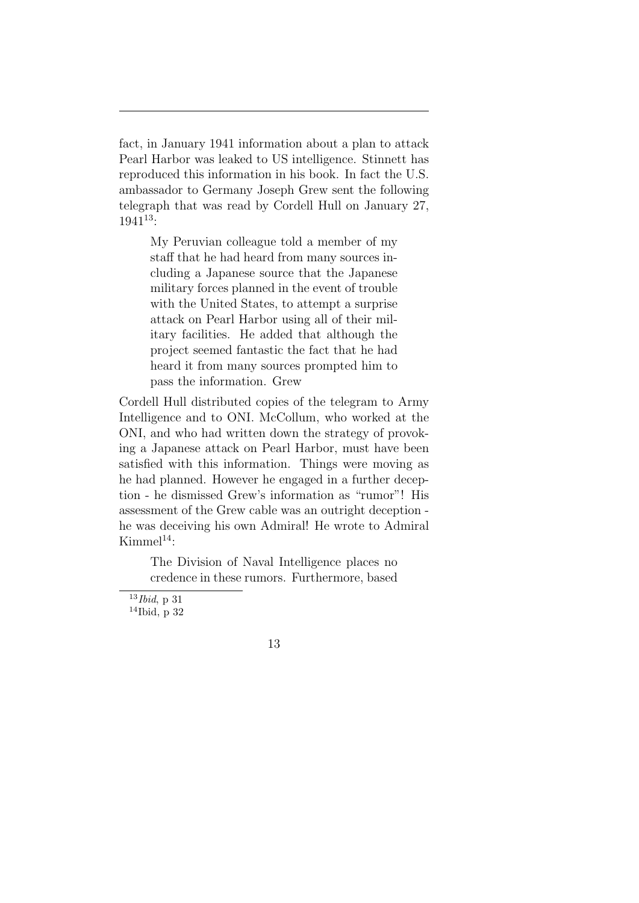fact, in January 1941 information about a plan to attack Pearl Harbor was leaked to US intelligence. Stinnett has reproduced this information in his book. In fact the U.S. ambassador to Germany Joseph Grew sent the following telegraph that was read by Cordell Hull on January 27, 1941<sup>13</sup>:

My Peruvian colleague told a member of my staff that he had heard from many sources including a Japanese source that the Japanese military forces planned in the event of trouble with the United States, to attempt a surprise attack on Pearl Harbor using all of their military facilities. He added that although the project seemed fantastic the fact that he had heard it from many sources prompted him to pass the information. Grew

Cordell Hull distributed copies of the telegram to Army Intelligence and to ONI. McCollum, who worked at the ONI, and who had written down the strategy of provoking a Japanese attack on Pearl Harbor, must have been satisfied with this information. Things were moving as he had planned. However he engaged in a further deception - he dismissed Grew's information as "rumor"! His assessment of the Grew cable was an outright deception he was deceiving his own Admiral! He wrote to Admiral  $Kimmel<sup>14</sup>$ :

> The Division of Naval Intelligence places no credence in these rumors. Furthermore, based

<sup>13</sup>*Ibid*, p 31 <sup>14</sup>Ibid, p 32

<sup>13</sup>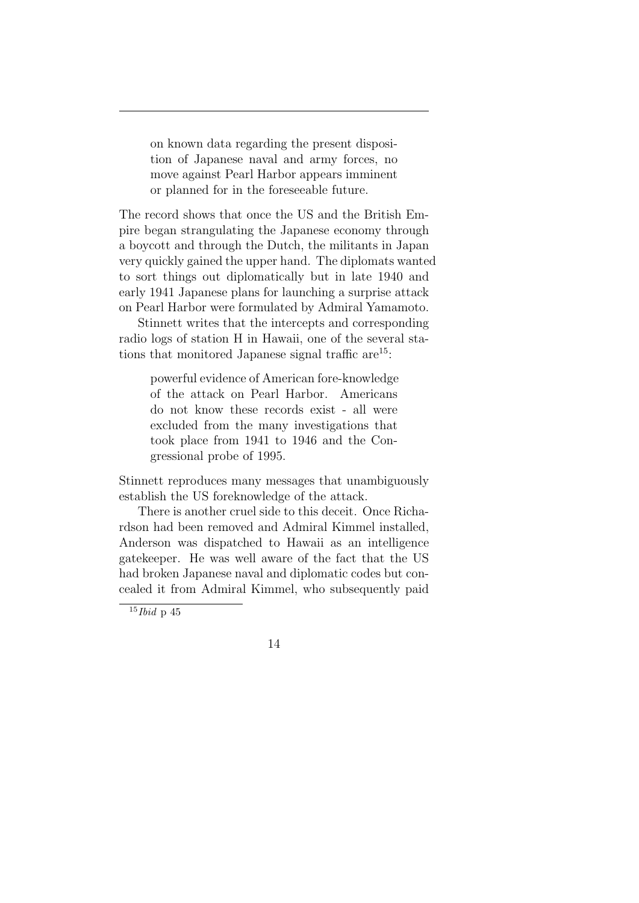on known data regarding the present disposition of Japanese naval and army forces, no move against Pearl Harbor appears imminent or planned for in the foreseeable future.

The record shows that once the US and the British Empire began strangulating the Japanese economy through a boycott and through the Dutch, the militants in Japan very quickly gained the upper hand. The diplomats wanted to sort things out diplomatically but in late 1940 and early 1941 Japanese plans for launching a surprise attack on Pearl Harbor were formulated by Admiral Yamamoto.

Stinnett writes that the intercepts and corresponding radio logs of station H in Hawaii, one of the several stations that monitored Japanese signal traffic are  $15$ :

powerful evidence of American fore-knowledge of the attack on Pearl Harbor. Americans do not know these records exist - all were excluded from the many investigations that took place from 1941 to 1946 and the Congressional probe of 1995.

Stinnett reproduces many messages that unambiguously establish the US foreknowledge of the attack.

There is another cruel side to this deceit. Once Richardson had been removed and Admiral Kimmel installed, Anderson was dispatched to Hawaii as an intelligence gatekeeper. He was well aware of the fact that the US had broken Japanese naval and diplomatic codes but concealed it from Admiral Kimmel, who subsequently paid

<sup>15</sup>*Ibid* p 45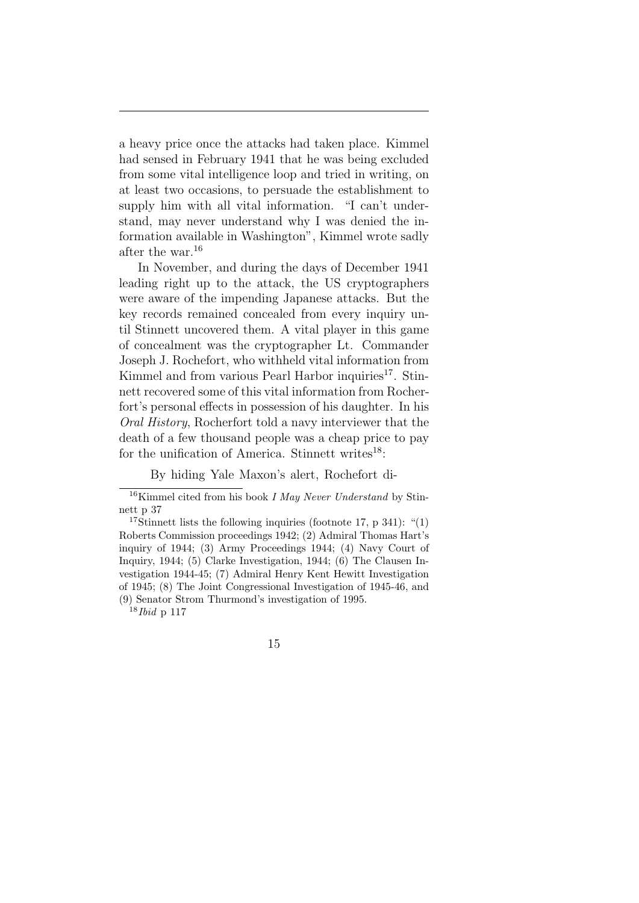a heavy price once the attacks had taken place. Kimmel had sensed in February 1941 that he was being excluded from some vital intelligence loop and tried in writing, on at least two occasions, to persuade the establishment to supply him with all vital information. "I can't understand, may never understand why I was denied the information available in Washington", Kimmel wrote sadly after the war.<sup>16</sup>

In November, and during the days of December 1941 leading right up to the attack, the US cryptographers were aware of the impending Japanese attacks. But the key records remained concealed from every inquiry until Stinnett uncovered them. A vital player in this game of concealment was the cryptographer Lt. Commander Joseph J. Rochefort, who withheld vital information from Kimmel and from various Pearl Harbor inquiries<sup>17</sup>. Stinnett recovered some of this vital information from Rocherfort's personal effects in possession of his daughter. In his *Oral History*, Rocherfort told a navy interviewer that the death of a few thousand people was a cheap price to pay for the unification of America. Stinnett writes $^{18}$ :

By hiding Yale Maxon's alert, Rochefort di-

<sup>18</sup>*Ibid* p 117

<sup>16</sup>Kimmel cited from his book *I May Never Understand* by Stinnett p 37

<sup>&</sup>lt;sup>17</sup>Stinnett lists the following inquiries (footnote 17, p 341): "(1) Roberts Commission proceedings 1942; (2) Admiral Thomas Hart's inquiry of 1944; (3) Army Proceedings 1944; (4) Navy Court of Inquiry, 1944; (5) Clarke Investigation, 1944; (6) The Clausen Investigation 1944-45; (7) Admiral Henry Kent Hewitt Investigation of 1945; (8) The Joint Congressional Investigation of 1945-46, and (9) Senator Strom Thurmond's investigation of 1995.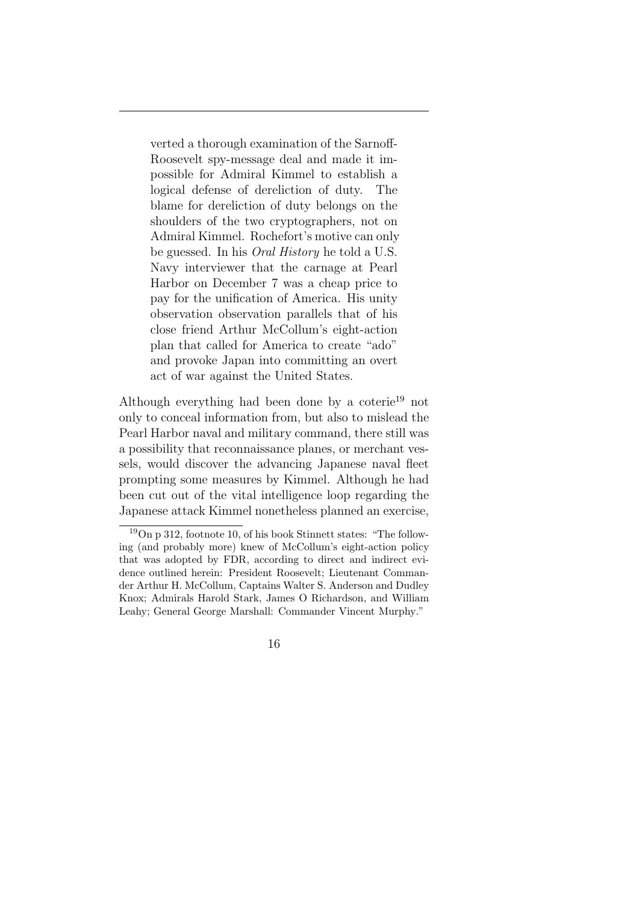verted a thorough examination of the Sarnoff-Roosevelt spy-message deal and made it impossible for Admiral Kimmel to establish a logical defense of dereliction of duty. The blame for dereliction of duty belongs on the shoulders of the two cryptographers, not on Admiral Kimmel. Rochefort's motive can only be guessed. In his *Oral History* he told a U.S. Navy interviewer that the carnage at Pearl Harbor on December 7 was a cheap price to pay for the unification of America. His unity observation observation parallels that of his close friend Arthur McCollum's eight-action plan that called for America to create "ado" and provoke Japan into committing an overt act of war against the United States.

Although everything had been done by a coterie<sup>19</sup> not only to conceal information from, but also to mislead the Pearl Harbor naval and military command, there still was a possibility that reconnaissance planes, or merchant vessels, would discover the advancing Japanese naval fleet prompting some measures by Kimmel. Although he had been cut out of the vital intelligence loop regarding the Japanese attack Kimmel nonetheless planned an exercise,

 $19$ On p 312, footnote 10, of his book Stinnett states: "The following (and probably more) knew of McCollum's eight-action policy that was adopted by FDR, according to direct and indirect evidence outlined herein: President Roosevelt; Lieutenant Commander Arthur H. McCollum, Captains Walter S. Anderson and Dudley Knox; Admirals Harold Stark, James O Richardson, and William Leahy; General George Marshall: Commander Vincent Murphy."

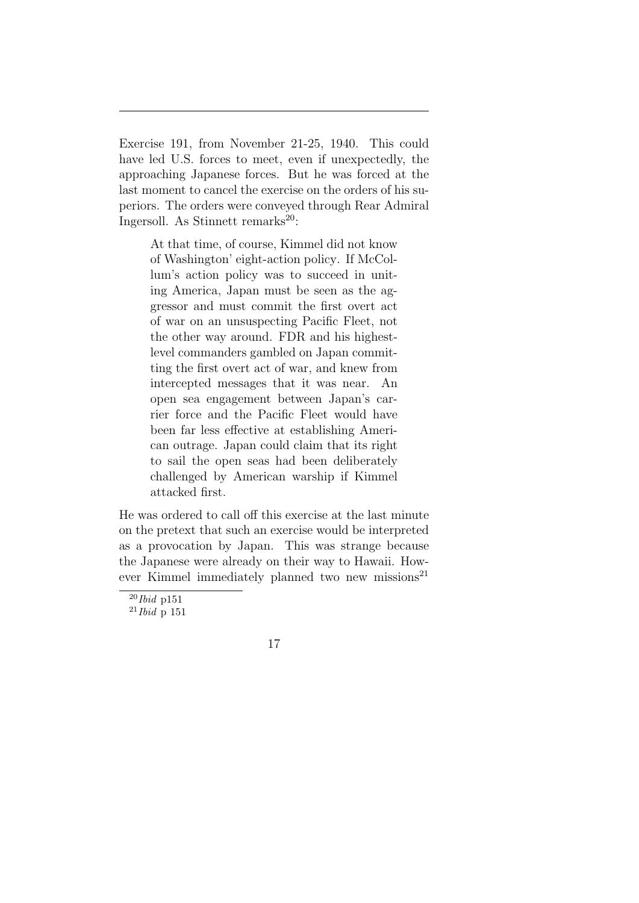Exercise 191, from November 21-25, 1940. This could have led U.S. forces to meet, even if unexpectedly, the approaching Japanese forces. But he was forced at the last moment to cancel the exercise on the orders of his superiors. The orders were conveyed through Rear Admiral Ingersoll. As Stinnett remarks $^{20}$ :

At that time, of course, Kimmel did not know of Washington' eight-action policy. If McCollum's action policy was to succeed in uniting America, Japan must be seen as the aggressor and must commit the first overt act of war on an unsuspecting Pacific Fleet, not the other way around. FDR and his highestlevel commanders gambled on Japan committing the first overt act of war, and knew from intercepted messages that it was near. An open sea engagement between Japan's carrier force and the Pacific Fleet would have been far less effective at establishing American outrage. Japan could claim that its right to sail the open seas had been deliberately challenged by American warship if Kimmel attacked first.

He was ordered to call off this exercise at the last minute on the pretext that such an exercise would be interpreted as a provocation by Japan. This was strange because the Japanese were already on their way to Hawaii. However Kimmel immediately planned two new missions<sup>21</sup>

<sup>20</sup>*Ibid* p151

<sup>21</sup>*Ibid* p 151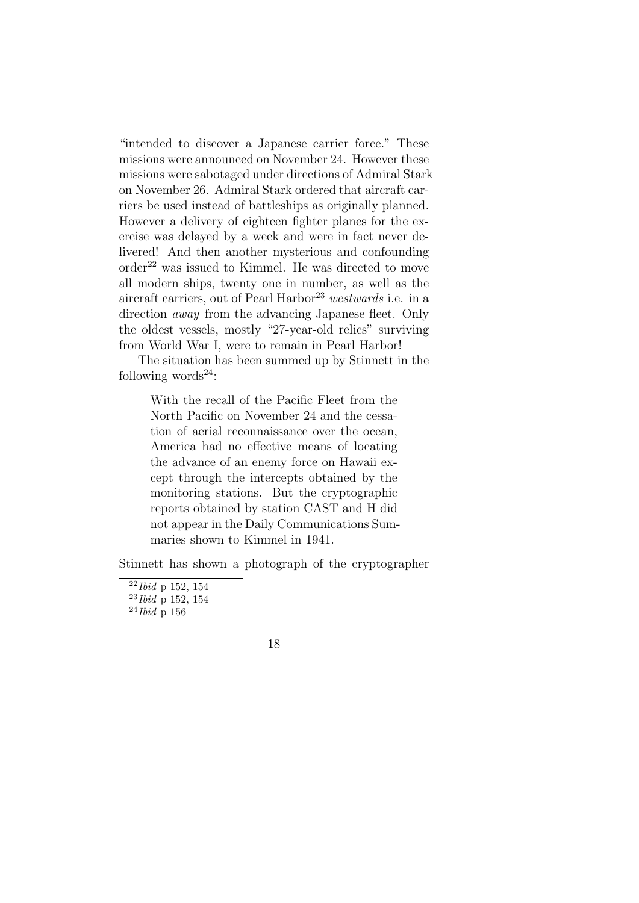"intended to discover a Japanese carrier force." These missions were announced on November 24. However these missions were sabotaged under directions of Admiral Stark on November 26. Admiral Stark ordered that aircraft carriers be used instead of battleships as originally planned. However a delivery of eighteen fighter planes for the exercise was delayed by a week and were in fact never delivered! And then another mysterious and confounding  $\sigma$ order<sup>22</sup> was issued to Kimmel. He was directed to move all modern ships, twenty one in number, as well as the aircraft carriers, out of Pearl Harbor<sup>23</sup> westwards i.e. in a direction *away* from the advancing Japanese fleet. Only the oldest vessels, mostly "27-year-old relics" surviving from World War I, were to remain in Pearl Harbor!

The situation has been summed up by Stinnett in the following words $^{24}$ :

With the recall of the Pacific Fleet from the North Pacific on November 24 and the cessation of aerial reconnaissance over the ocean, America had no effective means of locating the advance of an enemy force on Hawaii except through the intercepts obtained by the monitoring stations. But the cryptographic reports obtained by station CAST and H did not appear in the Daily Communications Summaries shown to Kimmel in 1941.

Stinnett has shown a photograph of the cryptographer

<sup>22</sup>*Ibid* p 152, 154

<sup>23</sup>*Ibid* p 152, 154

<sup>24</sup>*Ibid* p 156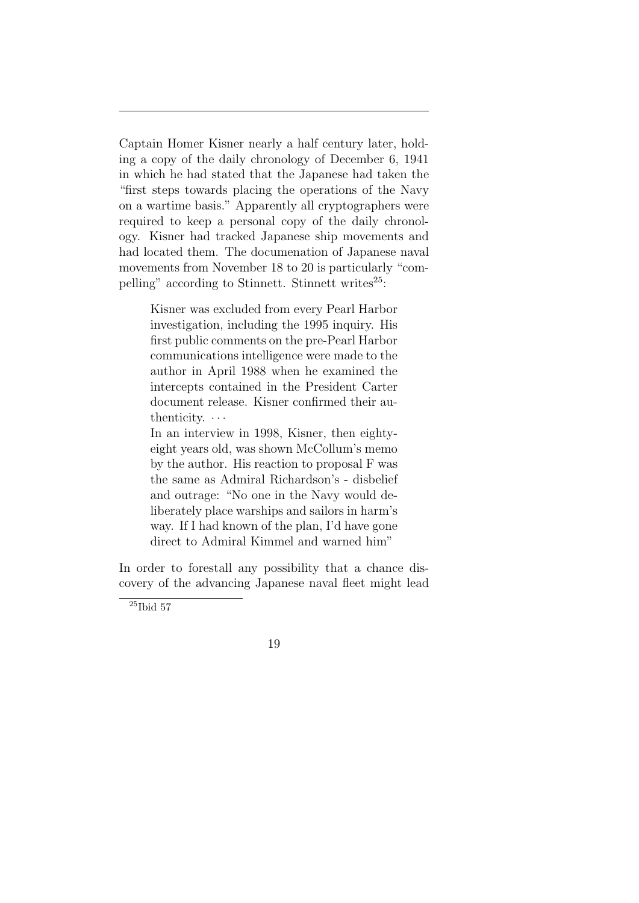Captain Homer Kisner nearly a half century later, holding a copy of the daily chronology of December 6, 1941 in which he had stated that the Japanese had taken the "first steps towards placing the operations of the Navy on a wartime basis." Apparently all cryptographers were required to keep a personal copy of the daily chronology. Kisner had tracked Japanese ship movements and had located them. The documenation of Japanese naval movements from November 18 to 20 is particularly "compelling" according to Stinnett. Stinnett writes $^{25}$ :

> Kisner was excluded from every Pearl Harbor investigation, including the 1995 inquiry. His first public comments on the pre-Pearl Harbor communications intelligence were made to the author in April 1988 when he examined the intercepts contained in the President Carter document release. Kisner confirmed their authenticity. *· · ·*

> In an interview in 1998, Kisner, then eightyeight years old, was shown McCollum's memo by the author. His reaction to proposal F was the same as Admiral Richardson's - disbelief and outrage: "No one in the Navy would deliberately place warships and sailors in harm's way. If I had known of the plan, I'd have gone direct to Admiral Kimmel and warned him"

In order to forestall any possibility that a chance discovery of the advancing Japanese naval fleet might lead



 ${}^{25}\mathrm{Ibid}$  57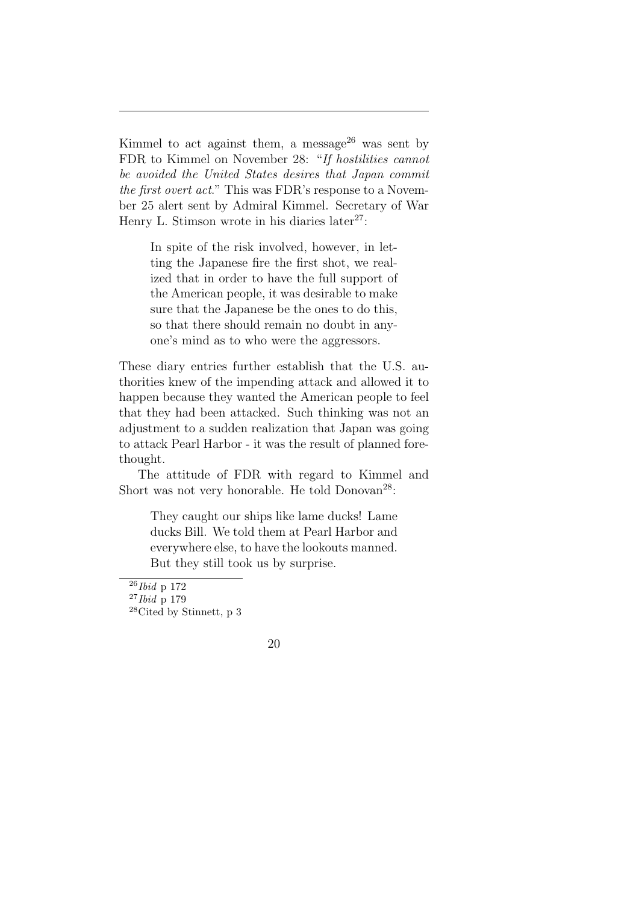Kimmel to act against them, a message<sup>26</sup> was sent by FDR to Kimmel on November 28: "*If hostilities cannot be avoided the United States desires that Japan commit the first overt act*." This was FDR's response to a November 25 alert sent by Admiral Kimmel. Secretary of War Henry L. Stimson wrote in his diaries later<sup>27</sup>:

In spite of the risk involved, however, in letting the Japanese fire the first shot, we realized that in order to have the full support of the American people, it was desirable to make sure that the Japanese be the ones to do this, so that there should remain no doubt in anyone's mind as to who were the aggressors.

These diary entries further establish that the U.S. authorities knew of the impending attack and allowed it to happen because they wanted the American people to feel that they had been attacked. Such thinking was not an adjustment to a sudden realization that Japan was going to attack Pearl Harbor - it was the result of planned forethought.

The attitude of FDR with regard to Kimmel and Short was not very honorable. He told  $Donovan^{28}$ :

They caught our ships like lame ducks! Lame ducks Bill. We told them at Pearl Harbor and everywhere else, to have the lookouts manned. But they still took us by surprise.

<sup>26</sup>*Ibid* p 172

<sup>27</sup>*Ibid* p 179

<sup>28</sup>Cited by Stinnett, p 3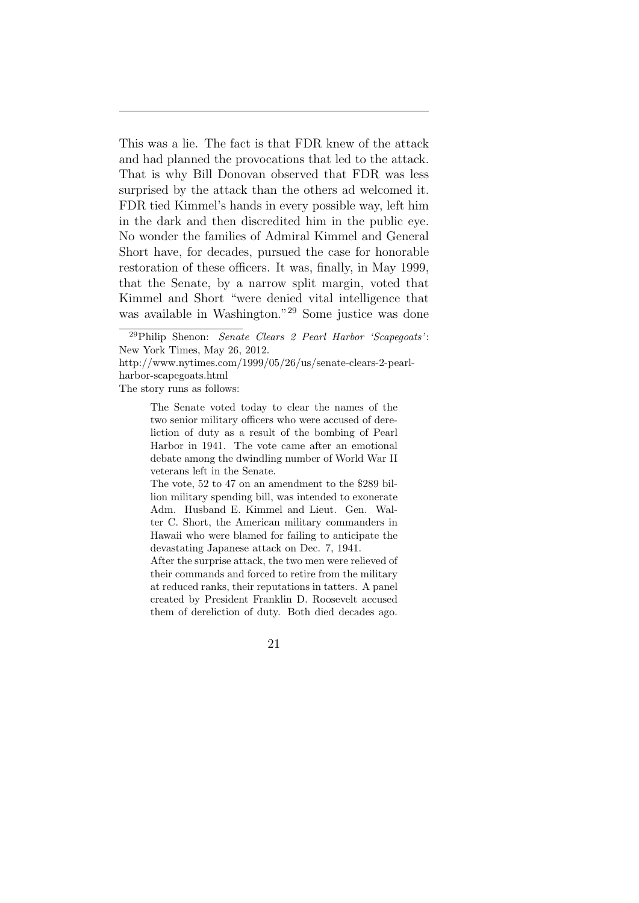This was a lie. The fact is that FDR knew of the attack and had planned the provocations that led to the attack. That is why Bill Donovan observed that FDR was less surprised by the attack than the others ad welcomed it. FDR tied Kimmel's hands in every possible way, left him in the dark and then discredited him in the public eye. No wonder the families of Admiral Kimmel and General Short have, for decades, pursued the case for honorable restoration of these officers. It was, finally, in May 1999, that the Senate, by a narrow split margin, voted that Kimmel and Short "were denied vital intelligence that was available in Washington."<sup>29</sup> Some justice was done

The story runs as follows:

The Senate voted today to clear the names of the two senior military officers who were accused of dereliction of duty as a result of the bombing of Pearl Harbor in 1941. The vote came after an emotional debate among the dwindling number of World War II veterans left in the Senate.

The vote, 52 to 47 on an amendment to the \$289 billion military spending bill, was intended to exonerate Adm. Husband E. Kimmel and Lieut. Gen. Walter C. Short, the American military commanders in Hawaii who were blamed for failing to anticipate the devastating Japanese attack on Dec. 7, 1941.

After the surprise attack, the two men were relieved of their commands and forced to retire from the military at reduced ranks, their reputations in tatters. A panel created by President Franklin D. Roosevelt accused them of dereliction of duty. Both died decades ago.



<sup>29</sup>Philip Shenon: *Senate Clears 2 Pearl Harbor 'Scapegoats'*: New York Times, May 26, 2012.

http://www.nytimes.com/1999/05/26/us/senate-clears-2-pearlharbor-scapegoats.html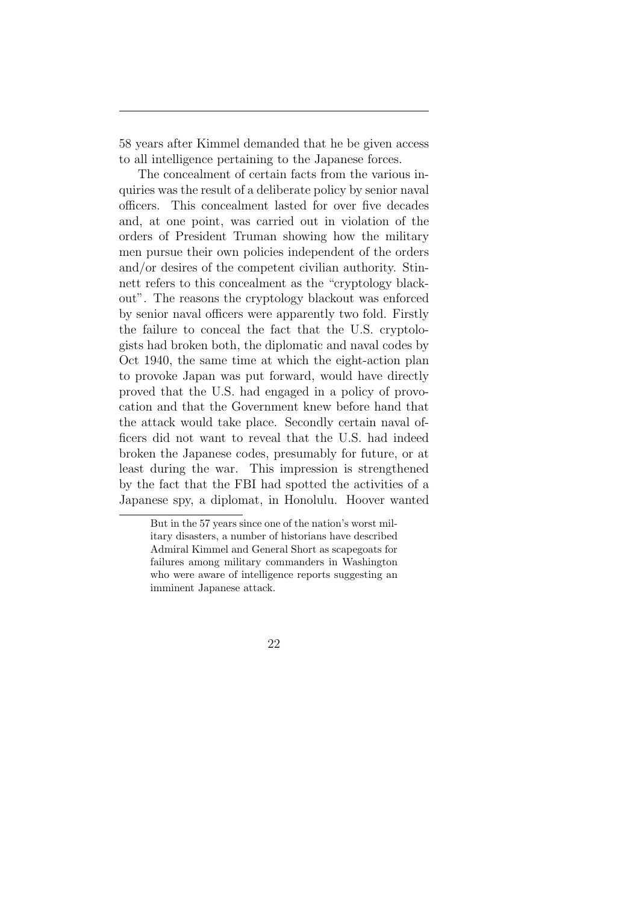58 years after Kimmel demanded that he be given access to all intelligence pertaining to the Japanese forces.

The concealment of certain facts from the various inquiries was the result of a deliberate policy by senior naval officers. This concealment lasted for over five decades and, at one point, was carried out in violation of the orders of President Truman showing how the military men pursue their own policies independent of the orders and/or desires of the competent civilian authority. Stinnett refers to this concealment as the "cryptology blackout". The reasons the cryptology blackout was enforced by senior naval officers were apparently two fold. Firstly the failure to conceal the fact that the U.S. cryptologists had broken both, the diplomatic and naval codes by Oct 1940, the same time at which the eight-action plan to provoke Japan was put forward, would have directly proved that the U.S. had engaged in a policy of provocation and that the Government knew before hand that the attack would take place. Secondly certain naval officers did not want to reveal that the U.S. had indeed broken the Japanese codes, presumably for future, or at least during the war. This impression is strengthened by the fact that the FBI had spotted the activities of a Japanese spy, a diplomat, in Honolulu. Hoover wanted

But in the 57 years since one of the nation's worst military disasters, a number of historians have described Admiral Kimmel and General Short as scapegoats for failures among military commanders in Washington who were aware of intelligence reports suggesting an imminent Japanese attack.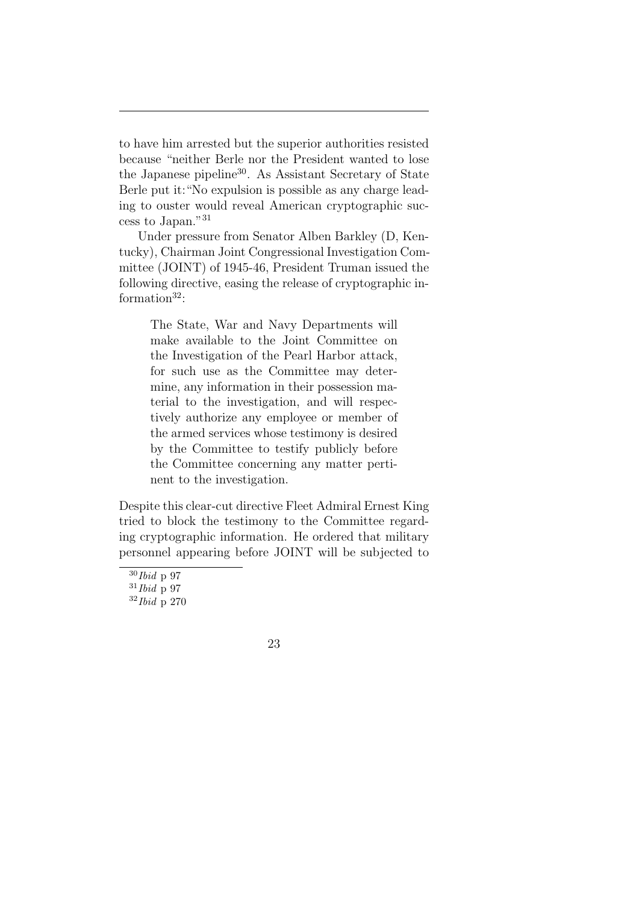to have him arrested but the superior authorities resisted because "neither Berle nor the President wanted to lose the Japanese pipeline<sup>30</sup>. As Assistant Secretary of State Berle put it:"No expulsion is possible as any charge leading to ouster would reveal American cryptographic success to Japan."<sup>31</sup>

Under pressure from Senator Alben Barkley (D, Kentucky), Chairman Joint Congressional Investigation Committee (JOINT) of 1945-46, President Truman issued the following directive, easing the release of cryptographic information $32$ :

> The State, War and Navy Departments will make available to the Joint Committee on the Investigation of the Pearl Harbor attack, for such use as the Committee may determine, any information in their possession material to the investigation, and will respectively authorize any employee or member of the armed services whose testimony is desired by the Committee to testify publicly before the Committee concerning any matter pertinent to the investigation.

Despite this clear-cut directive Fleet Admiral Ernest King tried to block the testimony to the Committee regarding cryptographic information. He ordered that military personnel appearing before JOINT will be subjected to

<sup>30</sup>*Ibid* p 97

<sup>31</sup>*Ibid* p 97

<sup>32</sup>*Ibid* p 270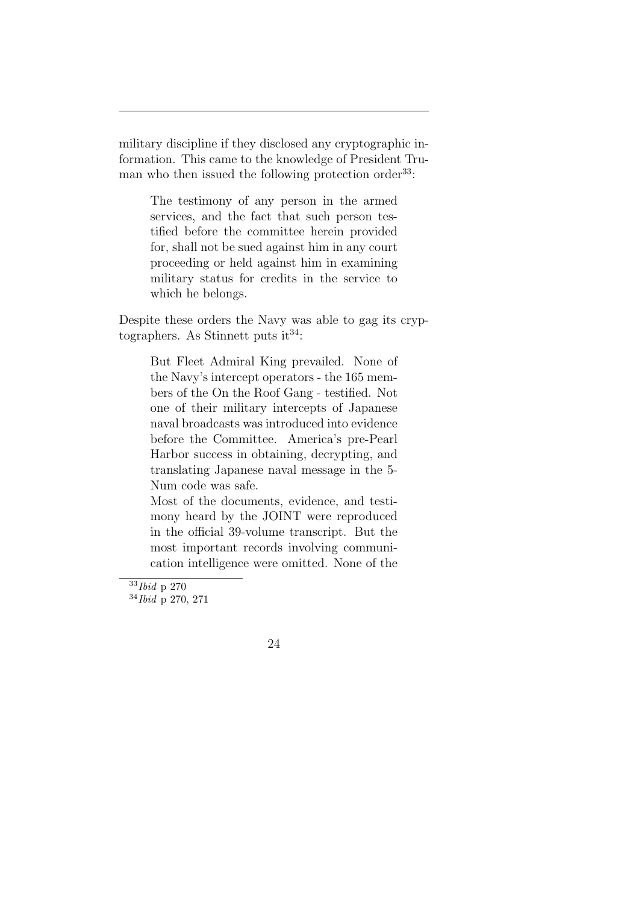military discipline if they disclosed any cryptographic information. This came to the knowledge of President Truman who then issued the following protection order  $33$ :

The testimony of any person in the armed services, and the fact that such person testified before the committee herein provided for, shall not be sued against him in any court proceeding or held against him in examining military status for credits in the service to which he belongs.

Despite these orders the Navy was able to gag its cryptographers. As Stinnett puts  $it^{34}$ :

But Fleet Admiral King prevailed. None of the Navy's intercept operators - the 165 members of the On the Roof Gang - testified. Not one of their military intercepts of Japanese naval broadcasts was introduced into evidence before the Committee. America's pre-Pearl Harbor success in obtaining, decrypting, and translating Japanese naval message in the 5- Num code was safe.

Most of the documents, evidence, and testimony heard by the JOINT were reproduced in the official 39-volume transcript. But the most important records involving communication intelligence were omitted. None of the



<sup>33</sup>*Ibid* p 270

<sup>34</sup>*Ibid* p 270, 271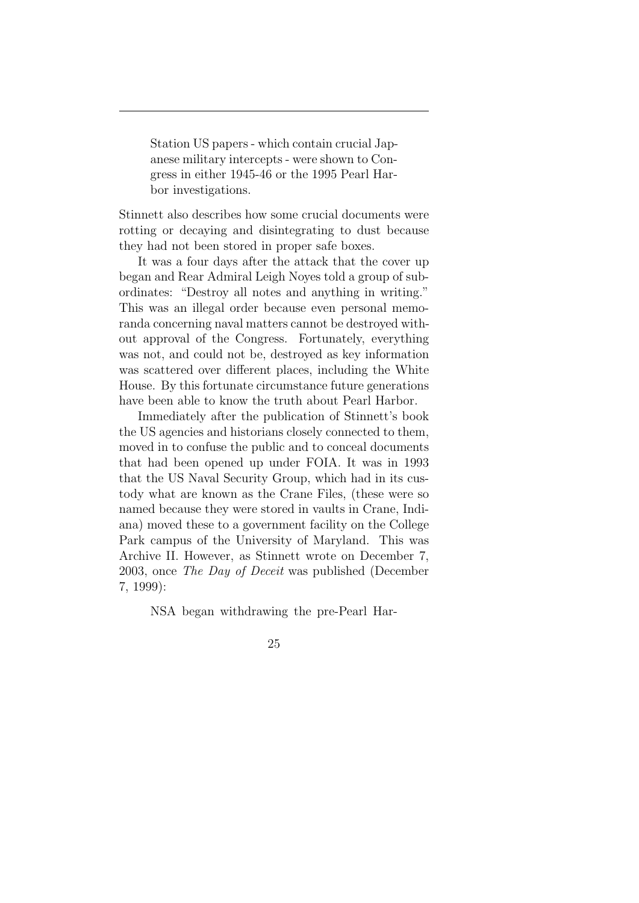Station US papers - which contain crucial Japanese military intercepts - were shown to Congress in either 1945-46 or the 1995 Pearl Harbor investigations.

Stinnett also describes how some crucial documents were rotting or decaying and disintegrating to dust because they had not been stored in proper safe boxes.

It was a four days after the attack that the cover up began and Rear Admiral Leigh Noyes told a group of subordinates: "Destroy all notes and anything in writing." This was an illegal order because even personal memoranda concerning naval matters cannot be destroyed without approval of the Congress. Fortunately, everything was not, and could not be, destroyed as key information was scattered over different places, including the White House. By this fortunate circumstance future generations have been able to know the truth about Pearl Harbor.

Immediately after the publication of Stinnett's book the US agencies and historians closely connected to them, moved in to confuse the public and to conceal documents that had been opened up under FOIA. It was in 1993 that the US Naval Security Group, which had in its custody what are known as the Crane Files, (these were so named because they were stored in vaults in Crane, Indiana) moved these to a government facility on the College Park campus of the University of Maryland. This was Archive II. However, as Stinnett wrote on December 7, 2003, once *The Day of Deceit* was published (December 7, 1999):

NSA began withdrawing the pre-Pearl Har-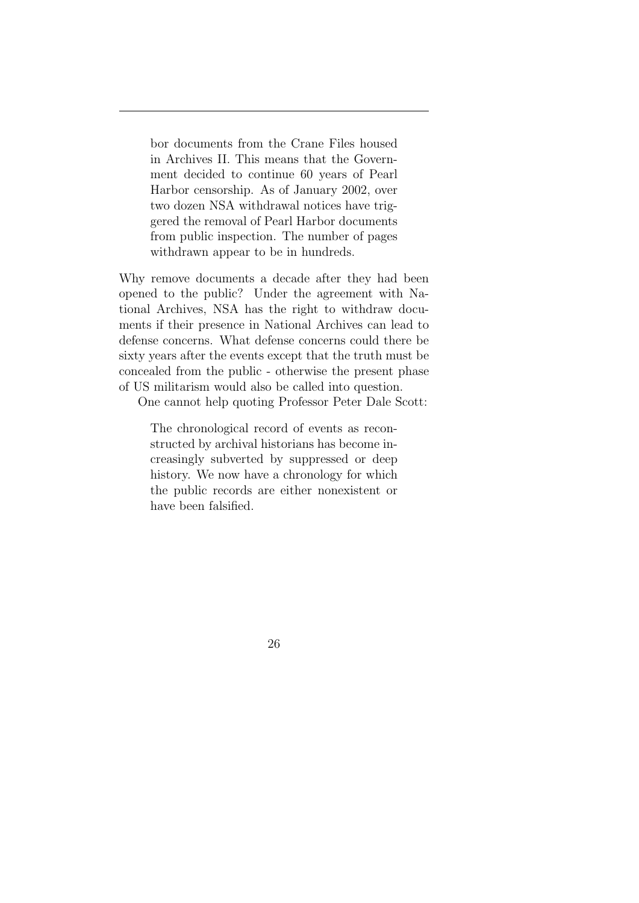bor documents from the Crane Files housed in Archives II. This means that the Government decided to continue 60 years of Pearl Harbor censorship. As of January 2002, over two dozen NSA withdrawal notices have triggered the removal of Pearl Harbor documents from public inspection. The number of pages withdrawn appear to be in hundreds.

Why remove documents a decade after they had been opened to the public? Under the agreement with National Archives, NSA has the right to withdraw documents if their presence in National Archives can lead to defense concerns. What defense concerns could there be sixty years after the events except that the truth must be concealed from the public - otherwise the present phase of US militarism would also be called into question.

One cannot help quoting Professor Peter Dale Scott:

The chronological record of events as reconstructed by archival historians has become increasingly subverted by suppressed or deep history. We now have a chronology for which the public records are either nonexistent or have been falsified.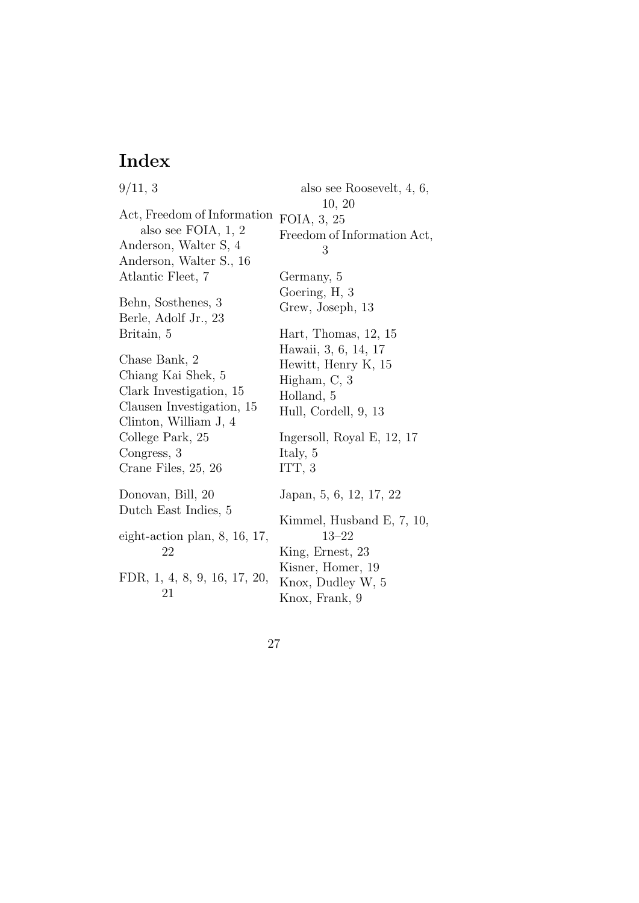## **Index**

9/11, 3 Act, Freedom of Information also see FOIA, 1, 2 Anderson, Walter S, 4 Anderson, Walter S., 16 Atlantic Fleet, 7 Behn, Sosthenes, 3 Berle, Adolf Jr., 23 Britain, 5 Chase Bank, 2 Chiang Kai Shek, 5 Clark Investigation, 15 Clausen Investigation, 15 Clinton, William J, 4 College Park, 25 Congress, 3 Crane Files, 25, 26 Donovan, Bill, 20 Dutch East Indies, 5 eight-action plan, 8, 16, 17, 22 FDR, 1, 4, 8, 9, 16, 17, 20, 21 also see Roosevelt, 4, 6, 10, 20 FOIA, 3, 25 Freedom of Information Act, 3 Germany, 5 Goering, H, 3 Grew, Joseph, 13 Hart, Thomas, 12, 15 Hawaii, 3, 6, 14, 17 Hewitt, Henry K, 15 Higham, C, 3 Holland, 5 Hull, Cordell, 9, 13 Ingersoll, Royal E, 12, 17 Italy, 5 ITT, 3 Japan, 5, 6, 12, 17, 22 Kimmel, Husband E, 7, 10, 13–22 King, Ernest, 23 Kisner, Homer, 19 Knox, Dudley W, 5 Knox, Frank, 9